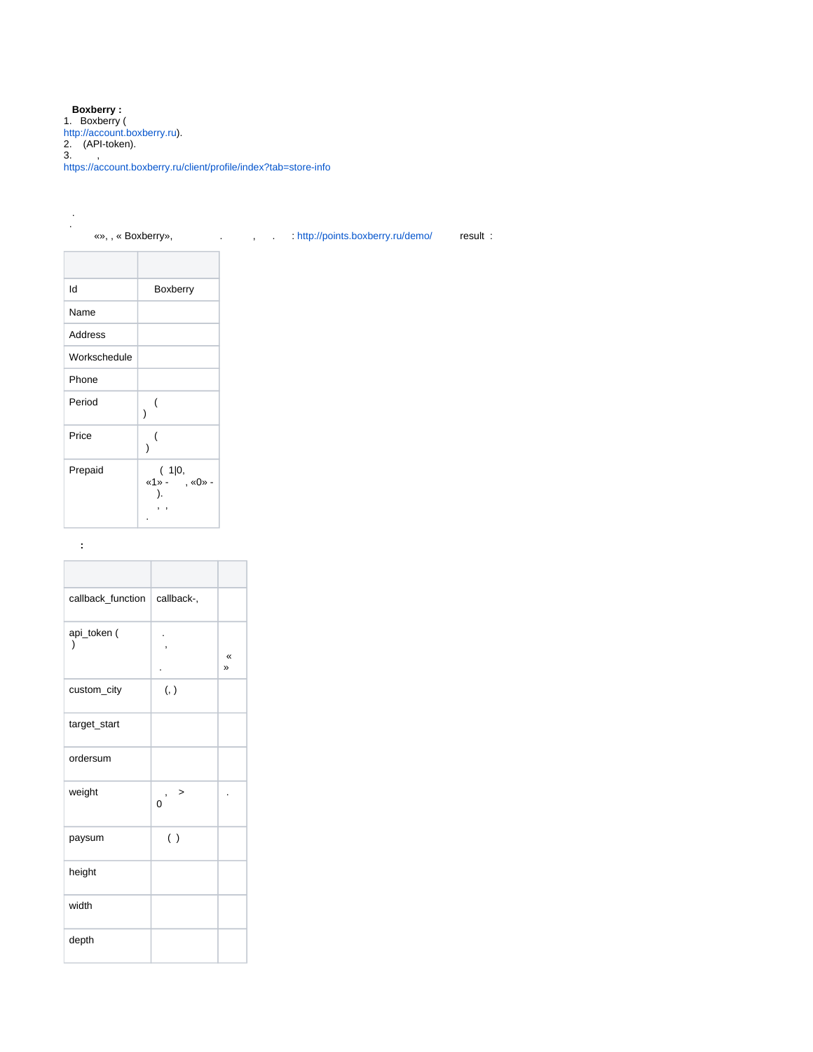**Boxberry :** 1. Boxberry ( <http://account.boxberry.ru>). 2. (API-token). 3. , <https://account.boxberry.ru/client/profile/index?tab=store-info>

#### . «», , « Boxberry», . , . :<http://points.boxberry.ru/demo/>result :  $\mathbf{r}$

.

| ld           | Boxberry                  |  |
|--------------|---------------------------|--|
| Name         |                           |  |
| Address      |                           |  |
| Workschedule |                           |  |
| Phone        |                           |  |
| Period       | (<br>١                    |  |
| Price        | (                         |  |
| Prepaid      | (1 0,<br>«1» - , «0»<br>, |  |

 **:**

| callback_function        | callback-,                  |        |
|--------------------------|-----------------------------|--------|
| api_token (<br>$\lambda$ |                             | «<br>» |
| custom_city              | (, )                        |        |
| target_start             |                             |        |
| ordersum                 |                             |        |
| weight                   | ><br>$\,$<br>$\overline{0}$ |        |
| paysum                   | ( )                         |        |
| height                   |                             |        |
| width                    |                             |        |
| depth                    |                             |        |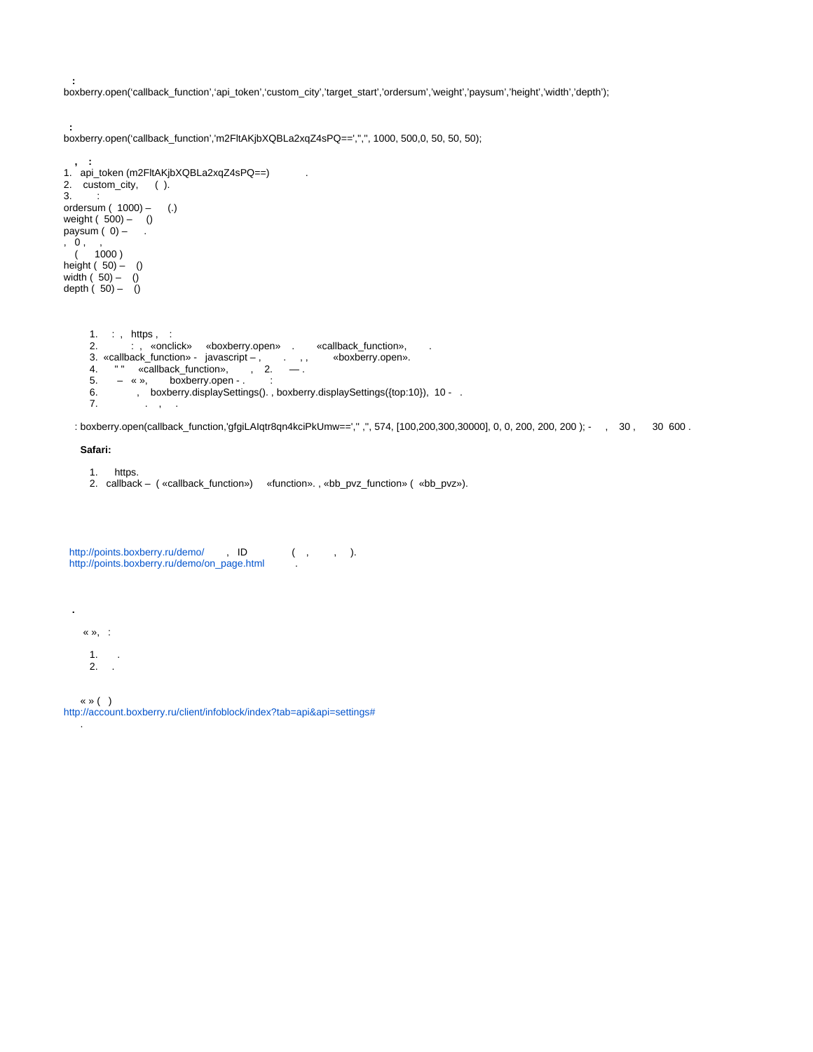boxberry.open('callback\_function','api\_token','custom\_city','target\_start','ordersum','weight','paysum','height','width','depth');

```
boxberry.open('callback_function','m2FltAKjbXQBLa2xqZ4sPQ==','','', 1000, 500,0, 50, 50, 50);
```

```
1. : , https , :
     2. 
     3. 
     4. 
     5. – « », boxberry.open - .:
     6. 
    7. 
 , :
1. api_token (m2FltAKjbXQBLa2xqZ4sPQ==) .
2. custom_city, ( ).
3. :
ordersum ( 1000) - (.)
weight ( 500) – ()
paysum (0) – \blacksquare.
, 0 , , 
 ( 1000 )
height ( 50) – ()
width ( 50) – ()
depth ( 50) – ()
         : , «onclick» «boxberry.open» . «callback_function», . 
        «callback_function» - javascript – , . , , «boxberry.open». 
        " " " «callback_function», , 2. — .
            , boxberry.displaySettings(). , boxberry.displaySettings({top:10}), 10 - . 
                . , .
```
: boxberry.open(callback\_function,'gfgiLAIqtr8qn4kciPkUmw==','' ,'', 574, [100,200,300,30000], 0, 0, 200, 200, 200 ); - , 30 , 30 600 .

### **Safari:**

 **:**

 **:**

- 1. https.
- 2. callback ( «callback\_function») «function». , «bb\_pvz\_function» ( «bb\_pvz»).

<http://points.boxberry.ru/demo/>, ID (, , , ).<br>http://points.boxberry.ru/demo/on\_page.btml [http://points.boxberry.ru/demo/on\\_page.html](http://points.boxberry.ru/demo/on_page.html) .

« », :

 **.**

- 1. .
- 2. .
- « » ( )

.

[http://account.boxberry.ru/client/infoblock/index?tab=api&api=settings#](http://account.boxberry.ru/client/infoblock/index?tab=api&api=settings)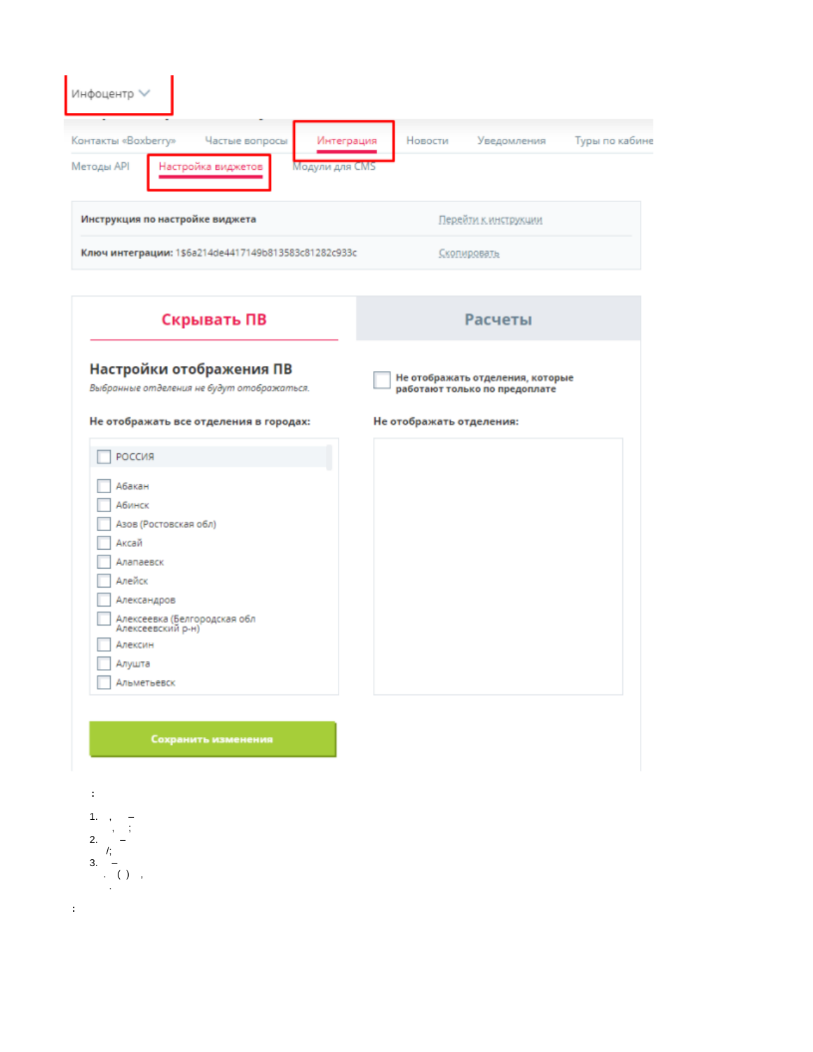| Инфоцентр V                                                                                               |                                          |  |
|-----------------------------------------------------------------------------------------------------------|------------------------------------------|--|
| Контакты «Boxberry»<br>Частые вопросы<br>Интеграция<br>Методы API<br>Настройка виджетов<br>Модули для CMS | Новости<br>Уведомления<br>Туры по кабине |  |
| Инструкция по настройке виджета<br>Перейти к инструкции                                                   |                                          |  |
| Ключ интеграции: 1\$6a214de4417149b813583c81282c933c                                                      | Скопировать                              |  |

| Скрывать ПВ                                                                                                                                                                       | <b>Расчеты</b>                                                    |  |
|-----------------------------------------------------------------------------------------------------------------------------------------------------------------------------------|-------------------------------------------------------------------|--|
| Настройки отображения ПВ<br>Выбранные отделения не будут отображаться.                                                                                                            | Не отображать отделения, которые<br>работают только по предоплате |  |
| Не отображать все отделения в городах:                                                                                                                                            | Не отображать отделения:                                          |  |
| РОССИЯ                                                                                                                                                                            |                                                                   |  |
| Абакан<br>Абинск<br>Азов (Ростовская обл)<br>Аксай<br>Алапаевск<br>Алейск<br>Александров<br>Алексеевка (Белгородская обл<br>Алексеевский р-н)<br>Алексин<br>Алушта<br>Альметьевск |                                                                   |  |

Сохранить изменения



 $\pm$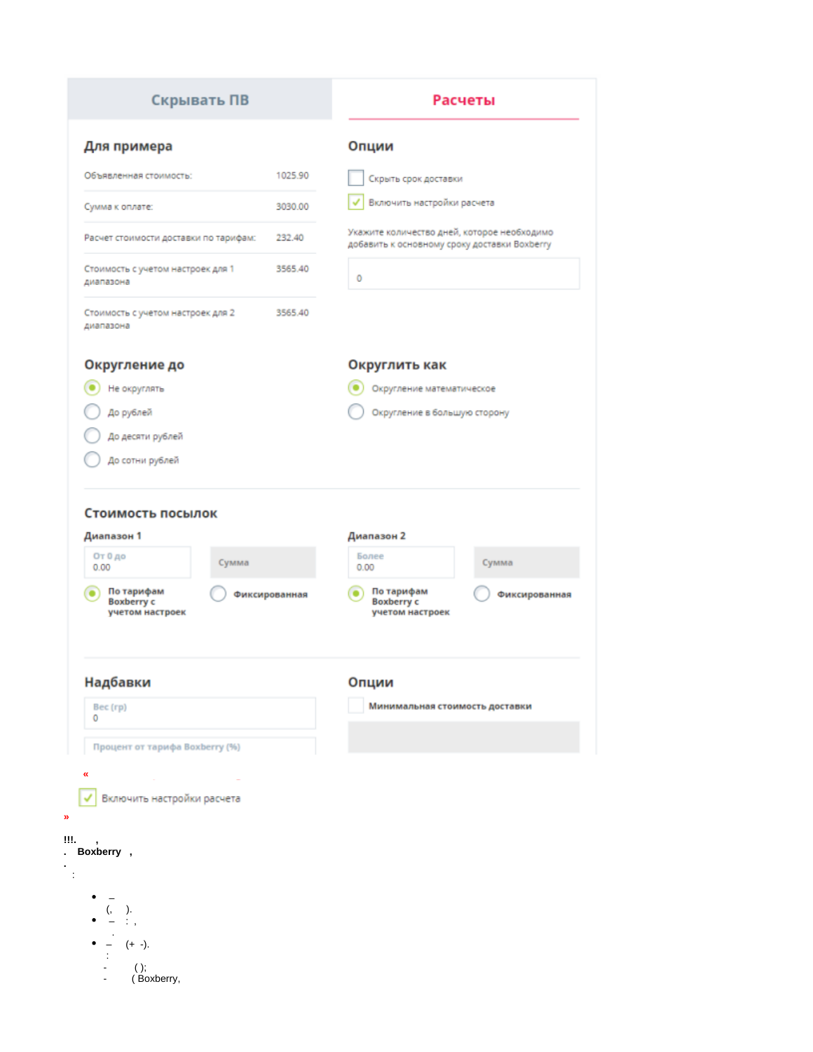## Скрывать ПВ

 $\frac{1}{2}$ 

# Расчеты

| Опции<br>1025.90<br>Скрыть срок доставки<br>Включить настройки расчета<br>3030.00<br>Укажите количество дней, которое необходимо<br>232.40<br>Расчет стоимости доставки по тарифам:<br>добавить к основному сроку доставки Boxberry<br>3565.40<br>Стоимость с учетом настроек для 1<br>0<br>диапазона<br>Стоимость с учетом настроек для 2<br>3565.40<br>диапазона<br>Округлить как<br>Округление до<br>Не округлять<br>Округление математическое<br>До рублей<br>Округление в большую сторону<br>До десяти рублей<br>До сотни рублей<br>Стоимость посылок<br>Диапазон 2<br>Диапазон 1<br>От 0 до<br>Более<br>Сумма<br>Сумма<br>0.00<br>0.00<br>По тарифам<br>По тарифам<br>٠<br>Фиксированная<br>Фиксированная<br><b>Boxberry c</b><br><b>Boxberry c</b><br>учетом настроек<br>учетом настроек<br>Надбавки<br>Опции<br>Минимальная стоимость доставки<br>Bec (rp)<br>0<br>Процент от тарифа Boxberry (%) |                        |  |  |
|-----------------------------------------------------------------------------------------------------------------------------------------------------------------------------------------------------------------------------------------------------------------------------------------------------------------------------------------------------------------------------------------------------------------------------------------------------------------------------------------------------------------------------------------------------------------------------------------------------------------------------------------------------------------------------------------------------------------------------------------------------------------------------------------------------------------------------------------------------------------------------------------------------------|------------------------|--|--|
|                                                                                                                                                                                                                                                                                                                                                                                                                                                                                                                                                                                                                                                                                                                                                                                                                                                                                                           | Для примера            |  |  |
|                                                                                                                                                                                                                                                                                                                                                                                                                                                                                                                                                                                                                                                                                                                                                                                                                                                                                                           | Объявленная стоимость: |  |  |
|                                                                                                                                                                                                                                                                                                                                                                                                                                                                                                                                                                                                                                                                                                                                                                                                                                                                                                           | Сумма к оплате:        |  |  |
|                                                                                                                                                                                                                                                                                                                                                                                                                                                                                                                                                                                                                                                                                                                                                                                                                                                                                                           |                        |  |  |
|                                                                                                                                                                                                                                                                                                                                                                                                                                                                                                                                                                                                                                                                                                                                                                                                                                                                                                           |                        |  |  |
|                                                                                                                                                                                                                                                                                                                                                                                                                                                                                                                                                                                                                                                                                                                                                                                                                                                                                                           |                        |  |  |
|                                                                                                                                                                                                                                                                                                                                                                                                                                                                                                                                                                                                                                                                                                                                                                                                                                                                                                           |                        |  |  |
|                                                                                                                                                                                                                                                                                                                                                                                                                                                                                                                                                                                                                                                                                                                                                                                                                                                                                                           |                        |  |  |
|                                                                                                                                                                                                                                                                                                                                                                                                                                                                                                                                                                                                                                                                                                                                                                                                                                                                                                           |                        |  |  |
|                                                                                                                                                                                                                                                                                                                                                                                                                                                                                                                                                                                                                                                                                                                                                                                                                                                                                                           |                        |  |  |
|                                                                                                                                                                                                                                                                                                                                                                                                                                                                                                                                                                                                                                                                                                                                                                                                                                                                                                           |                        |  |  |
|                                                                                                                                                                                                                                                                                                                                                                                                                                                                                                                                                                                                                                                                                                                                                                                                                                                                                                           |                        |  |  |
|                                                                                                                                                                                                                                                                                                                                                                                                                                                                                                                                                                                                                                                                                                                                                                                                                                                                                                           |                        |  |  |
|                                                                                                                                                                                                                                                                                                                                                                                                                                                                                                                                                                                                                                                                                                                                                                                                                                                                                                           |                        |  |  |
|                                                                                                                                                                                                                                                                                                                                                                                                                                                                                                                                                                                                                                                                                                                                                                                                                                                                                                           |                        |  |  |
|                                                                                                                                                                                                                                                                                                                                                                                                                                                                                                                                                                                                                                                                                                                                                                                                                                                                                                           |                        |  |  |
|                                                                                                                                                                                                                                                                                                                                                                                                                                                                                                                                                                                                                                                                                                                                                                                                                                                                                                           | «                      |  |  |
| Включить настройки расчета                                                                                                                                                                                                                                                                                                                                                                                                                                                                                                                                                                                                                                                                                                                                                                                                                                                                                |                        |  |  |
|                                                                                                                                                                                                                                                                                                                                                                                                                                                                                                                                                                                                                                                                                                                                                                                                                                                                                                           |                        |  |  |
|                                                                                                                                                                                                                                                                                                                                                                                                                                                                                                                                                                                                                                                                                                                                                                                                                                                                                                           |                        |  |  |
|                                                                                                                                                                                                                                                                                                                                                                                                                                                                                                                                                                                                                                                                                                                                                                                                                                                                                                           |                        |  |  |
| ).                                                                                                                                                                                                                                                                                                                                                                                                                                                                                                                                                                                                                                                                                                                                                                                                                                                                                                        |                        |  |  |
| $(+ -).$                                                                                                                                                                                                                                                                                                                                                                                                                                                                                                                                                                                                                                                                                                                                                                                                                                                                                                  |                        |  |  |
| ( )<br>(Boxberry,                                                                                                                                                                                                                                                                                                                                                                                                                                                                                                                                                                                                                                                                                                                                                                                                                                                                                         | Boxberry,              |  |  |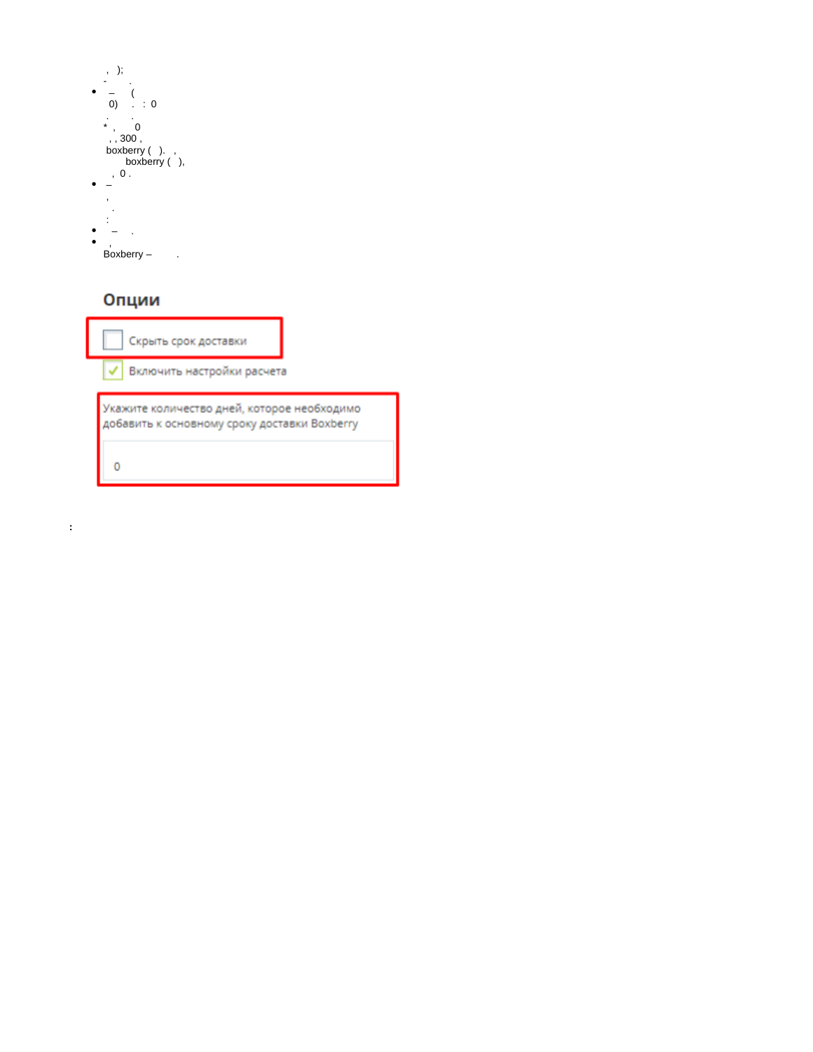| $)$ ;<br>ï    |
|---------------|
|               |
|               |
|               |
| O)<br>: 0     |
|               |
| 0             |
| ,             |
| , 300,        |
| boxberry ()., |
| boxberry (),  |
| 0.            |
|               |
|               |
| j             |
|               |
|               |
|               |
|               |
|               |
| ,             |
| Boxberry      |
|               |

## Опции

 $\pm$ 

|                                                                                             | Скрыть срок доставки       |  |  |
|---------------------------------------------------------------------------------------------|----------------------------|--|--|
|                                                                                             | Включить настройки расчета |  |  |
| Укажите количество дней, которое необходимо<br>добавить к основному сроку доставки Boxberry |                            |  |  |
|                                                                                             |                            |  |  |